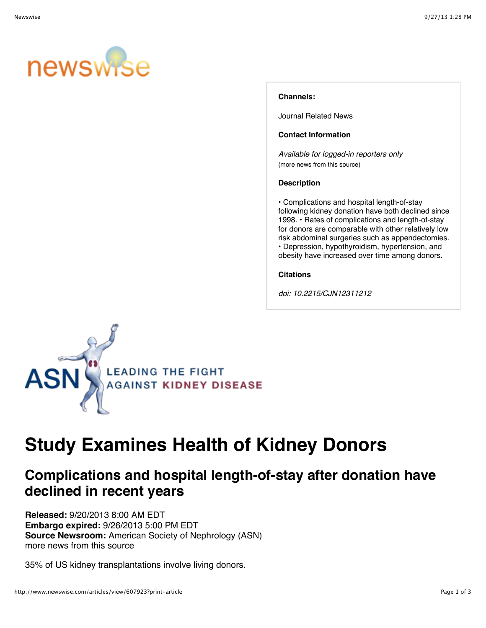

## **Channels:**

[Journal Related News](http://www.newswise.com/articles/channels?channel=6295)

## **Contact Information**

*Available for logged-in reporters only* [\(more news from this source\)](http://www.newswise.com/institutions/newsroom/1247/)

#### **Description**

• Complications and hospital length-of-stay following kidney donation have both declined since 1998. • Rates of complications and length-of-stay for donors are comparable with other relatively low risk abdominal surgeries such as appendectomies. • Depression, hypothyroidism, hypertension, and obesity have increased over time among donors.

#### **Citations**

*doi: 10.2215/CJN12311212*



# **[Study Examines Health of Kidney Donors](http://www.newswise.com/articles/study-examines-health-of-kidney-donors)**

# **Complications and hospital length-of-stay after donation have declined in recent years**

**Released:** 9/20/2013 8:00 AM EDT **Embargo expired:** 9/26/2013 5:00 PM EDT **Source Newsroom:** [American Society of Nephrology \(ASN\)](http://www.newswise.com/institutions/newsroom/1247/) [more news from this source](http://www.newswise.com/institutions/newsroom/1247/)

35% of US kidney transplantations involve living donors.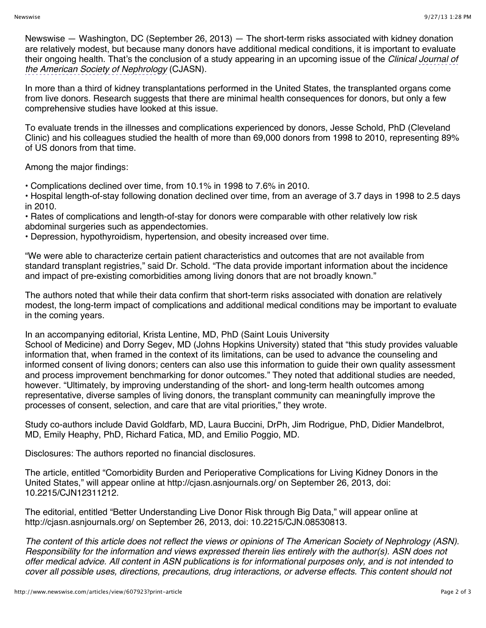Newswise — Washington, DC (September 26, 2013) — The short-term risks associated with kidney donation are relatively modest, but because many donors have additional medical conditions, it is important to evaluate their ongoing health. That's the conclusion of a study appearing in an upcoming issue of the *Clinical Journal of the American Society of Nephrology* (CJASN).

In more than a third of kidney transplantations performed in the United States, the transplanted organs come from live donors. Research suggests that there are minimal health consequences for donors, but only a few comprehensive studies have looked at this issue.

To evaluate trends in the illnesses and complications experienced by donors, Jesse Schold, PhD (Cleveland Clinic) and his colleagues studied the health of more than 69,000 donors from 1998 to 2010, representing 89% of US donors from that time.

Among the major findings:

• Complications declined over time, from 10.1% in 1998 to 7.6% in 2010.

• Hospital length-of-stay following donation declined over time, from an average of 3.7 days in 1998 to 2.5 days in 2010.

• Rates of complications and length-of-stay for donors were comparable with other relatively low risk abdominal surgeries such as appendectomies.

• Depression, hypothyroidism, hypertension, and obesity increased over time.

"We were able to characterize certain patient characteristics and outcomes that are not available from standard transplant registries," said Dr. Schold. "The data provide important information about the incidence and impact of pre-existing comorbidities among living donors that are not broadly known."

The authors noted that while their data confirm that short-term risks associated with donation are relatively modest, the long-term impact of complications and additional medical conditions may be important to evaluate in the coming years.

In an accompanying editorial, Krista Lentine, MD, PhD (Saint Louis University

School of Medicine) and Dorry Segev, MD (Johns Hopkins University) stated that "this study provides valuable information that, when framed in the context of its limitations, can be used to advance the counseling and informed consent of living donors; centers can also use this information to guide their own quality assessment and process improvement benchmarking for donor outcomes." They noted that additional studies are needed, however. "Ultimately, by improving understanding of the short- and long-term health outcomes among representative, diverse samples of living donors, the transplant community can meaningfully improve the processes of consent, selection, and care that are vital priorities," they wrote.

Study co-authors include David Goldfarb, MD, Laura Buccini, DrPh, Jim Rodrigue, PhD, Didier Mandelbrot, MD, Emily Heaphy, PhD, Richard Fatica, MD, and Emilio Poggio, MD.

Disclosures: The authors reported no financial disclosures.

The article, entitled "Comorbidity Burden and Perioperative Complications for Living Kidney Donors in the United States," will appear online at <http://cjasn.asnjournals.org/>on September 26, 2013, doi: 10.2215/CJN12311212.

The editorial, entitled "Better Understanding Live Donor Risk through Big Data," will appear online at <http://cjasn.asnjournals.org/>on September 26, 2013, doi: 10.2215/CJN.08530813.

*The content of this article does not reflect the views or opinions of The American Society of Nephrology (ASN). Responsibility for the information and views expressed therein lies entirely with the author(s). ASN does not offer medical advice. All content in ASN publications is for informational purposes only, and is not intended to cover all possible uses, directions, precautions, drug interactions, or adverse effects. This content should not*